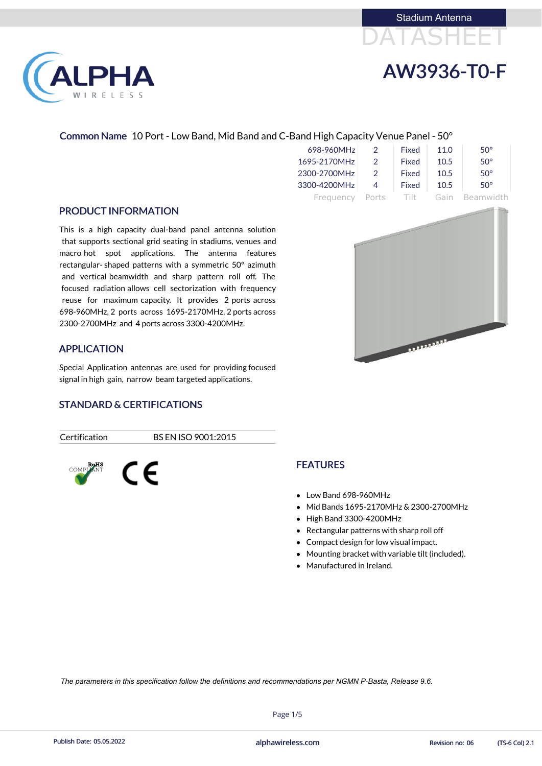

#### Common Name 10 Port - Low Band, Mid Band and C-Band High Capacity Venue Panel - 50°

| 698-960MHz   | $\mathcal{P}$ | Fixed  | 11.0 | $50^\circ$ |
|--------------|---------------|--------|------|------------|
| 1695-2170MHz | $\mathcal{D}$ | Fixed  | 10.5 | $50^\circ$ |
| 2300-2700MHz | $\mathcal{D}$ | Fixed  | 10.5 | $50^\circ$ |
| 3300-4200MHz |               | Fixed  | 10.5 | $50^\circ$ |
| Frequency    | Ports         | - 1111 | Gain | Beamwidth  |

#### PRODUCT INFORMATION

LPHA

RELESS

- Low Band 698-960MHz
- Mid Bands 1695-2170MHz & 2300-2700MHz
- High Band 3300-4200MHz
- Rectangular patterns with sharp roll off
- Compact design for low visual impact.
- Mounting bracket with variable tilt (included).
- Manufactured in Ireland.

This is a high capacity dual-band panel antenna solution that supports sectional grid seating in stadiums, venues and macro hot spot applications. The antenna features rectangular- shaped patterns with a symmetric 50° azimuth and vertical beamwidth and sharp pattern roll off. The focused radiation allows cell sectorization with frequency reuse for maximum capacity. It provides 2 ports across 698-960MHz, 2 ports across 1695-2170MHz, 2 ports across 2300-2700MHz and 4 ports across 3300-4200MHz.

### APPLICATION

Special Application antennas are used for providing focused signal in high gain, narrow beam targeted applications.

### STANDARD & CERTIFICATIONS

C E

Certification BS EN ISO 9001:2015



# FEATURES

Page 1/5

Publish Date: 05.05.2022 **Exercise Service Service Cole 2.1** alphawireless.com **Revision no: 06** (TS-6 Col) 2.1

*The parameters in this specification follow the definitions and recommendations per NGMN P-Basta, Release 9.6.*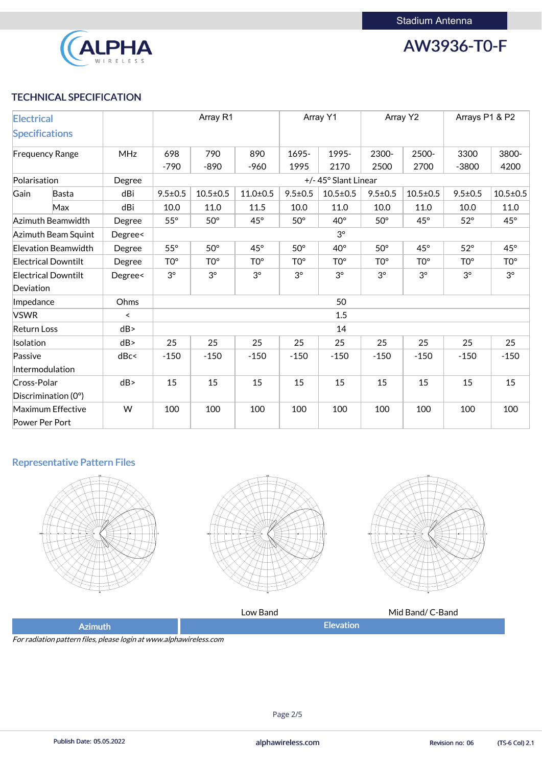

AW3936-T0-F

## TECHNICAL SPECIFICATION

| <b>Electrical</b>  |                            |            | Array R1        |                 | Array Y1        |                 | Array Y2            |                 | Arrays P1 & P2  |                 |                  |
|--------------------|----------------------------|------------|-----------------|-----------------|-----------------|-----------------|---------------------|-----------------|-----------------|-----------------|------------------|
|                    | <b>Specifications</b>      |            |                 |                 |                 |                 |                     |                 |                 |                 |                  |
|                    | <b>Frequency Range</b>     | <b>MHz</b> | 698             | 790             | 890             | 1695-           | 1995-               | 2300-           | 2500-           | 3300            | 3800-            |
|                    |                            |            | $-790$          | $-890$          | $-960$          | 1995            | 2170                | 2500            | 2700            | $-3800$         | 4200             |
| Polarisation       |                            | Degree     |                 |                 |                 |                 | +/-45° Slant Linear |                 |                 |                 |                  |
| Gain               | Basta                      | dBi        | $9.5 \pm 0.5$   | $10.5 \pm 0.5$  | $11.0 \pm 0.5$  | $9.5 \pm 0.5$   | $10.5 \pm 0.5$      | $9.5 \pm 0.5$   | $10.5 \pm 0.5$  | $9.5 \pm 0.5$   | $10.5 \pm 0.5$   |
|                    | Max                        | dBi        | 10.0            | 11.0            | 11.5            | 10.0            | 11.0                | 10.0            | 11.0            | 10.0            | 11.0             |
|                    | Azimuth Beamwidth          | Degree     | $55^{\circ}$    | $50^\circ$      | $45^{\circ}$    | $50^\circ$      | $40^{\circ}$        | $50^\circ$      | $45^\circ$      | $52^\circ$      | $45^{\circ}$     |
|                    | Azimuth Beam Squint        | Degree<    |                 |                 |                 |                 | $3^\circ$           |                 |                 |                 |                  |
|                    | Elevation Beamwidth        | Degree     | $55^{\circ}$    | $50^\circ$      | $45^\circ$      | $50^\circ$      | $40^{\circ}$        | $50^\circ$      | $45^\circ$      | $52^\circ$      | $45^{\circ}$     |
|                    | <b>Electrical Downtilt</b> | Degree     | TO <sup>o</sup> | TO <sup>o</sup> | TO <sup>o</sup> | TO <sup>o</sup> | TO <sup>o</sup>     | TO <sup>o</sup> | TO <sup>o</sup> | TO <sup>o</sup> | T <sub>0</sub> ° |
|                    | <b>Electrical Downtilt</b> | Degree<    | $3^\circ$       | $3^\circ$       | $3^\circ$       | $3^{\circ}$     | $3^{\circ}$         | $3^{\circ}$     | $3^{\circ}$     | $3^\circ$       | $3^{\circ}$      |
| Deviation          |                            |            |                 |                 |                 |                 |                     |                 |                 |                 |                  |
| Impedance          |                            | Ohms       | 50              |                 |                 |                 |                     |                 |                 |                 |                  |
| <b>VSWR</b>        |                            | $\prec$    | 1.5             |                 |                 |                 |                     |                 |                 |                 |                  |
| <b>Return Loss</b> |                            | dB         |                 |                 |                 |                 | 14                  |                 |                 |                 |                  |
| Isolation          |                            | dB         | 25              | 25              | 25              | 25              | 25                  | 25              | 25              | 25              | 25               |
| Passive            |                            | dBc<       | $-150$          | $-150$          | $-150$          | $-150$          | $-150$              | $-150$          | $-150$          | $-150$          | $-150$           |
|                    | Intermodulation            |            |                 |                 |                 |                 |                     |                 |                 |                 |                  |
| Cross-Polar        |                            | dB         | 15              | 15              | 15              | 15              | 15                  | 15              | 15              | 15              | 15               |
|                    | Discrimination (0°)        |            |                 |                 |                 |                 |                     |                 |                 |                 |                  |
|                    | <b>Maximum Effective</b>   | W          | 100             | 100             | 100             | 100             | 100                 | 100             | 100             | 100             | 100              |
|                    | Power Per Port             |            |                 |                 |                 |                 |                     |                 |                 |                 |                  |

## Representative Pattern Files









For radiation pattern files, please login at www.alphawireless.com



Publish Date: 05.05.2022 **Exercise Service Service Cole 2.1** alphawireless.com **Revision no: 06** (TS-6 Col) 2.1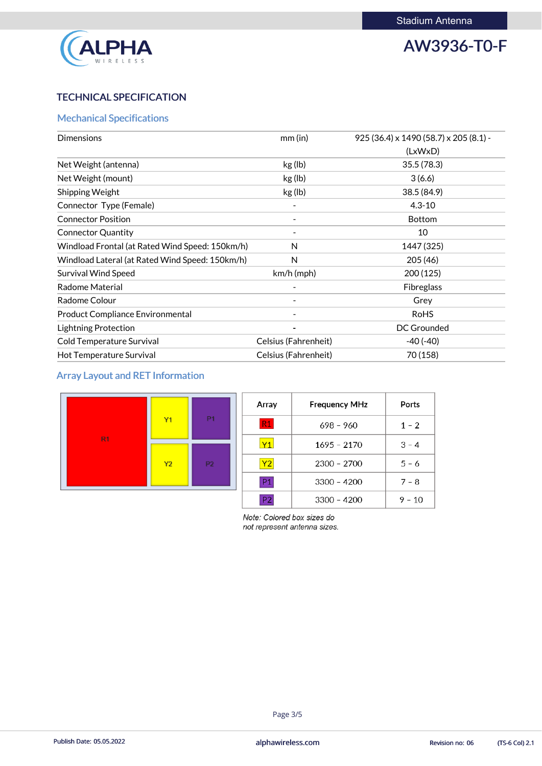

AW3936-T0-F

## TECHNICAL SPECIFICATION

## Mechanical Specifications

| <b>Dimensions</b>                               | mm (in)              | 925 (36.4) x 1490 (58.7) x 205 (8.1) - |
|-------------------------------------------------|----------------------|----------------------------------------|
|                                                 |                      | (LxWxD)                                |
| Net Weight (antenna)                            | kg (lb)              | 35.5(78.3)                             |
| Net Weight (mount)                              | kg (lb)              | 3(6.6)                                 |
| <b>Shipping Weight</b>                          | kg (lb)              | 38.5 (84.9)                            |
| Connector Type (Female)                         |                      | $4.3 - 10$                             |
| <b>Connector Position</b>                       |                      | <b>Bottom</b>                          |
| <b>Connector Quantity</b>                       |                      | 10                                     |
| Windload Frontal (at Rated Wind Speed: 150km/h) | N                    | 1447 (325)                             |
| Windload Lateral (at Rated Wind Speed: 150km/h) | $\mathsf{N}$         | 205 (46)                               |
| <b>Survival Wind Speed</b>                      | $km/h$ (mph)         | 200(125)                               |
| <b>Radome Material</b>                          |                      | <b>Fibreglass</b>                      |
| Radome Colour                                   |                      | Grey                                   |
| <b>Product Compliance Environmental</b>         |                      | <b>RoHS</b>                            |
| <b>Lightning Protection</b>                     |                      | <b>DC Grounded</b>                     |
| Cold Temperature Survival                       | Celsius (Fahrenheit) | $-40(-40)$                             |
| Hot Temperature Survival                        | Celsius (Fahrenheit) | 70 (158)                               |

## Array Layout and RET Information



| Array | <b>Frequency MHz</b> | Ports    |
|-------|----------------------|----------|
| R1    | $698 - 960$          | $1 - 2$  |
| Y1    | $1695 - 2170$        | $3 - 4$  |
| Y2    | $2300 - 2700$        | $5 - 6$  |
| P1    | $3300 - 4200$        | $7 - 8$  |
|       | $3300 - 4200$        | $9 - 10$ |

Note: Colored box sizes do not represent antenna sizes.

#### Page 3/5

Publish Date: 05.05.2022 **Exercise Service Service Cole 2.1** alphawireless.com **Revision no: 06** (TS-6 Col) 2.1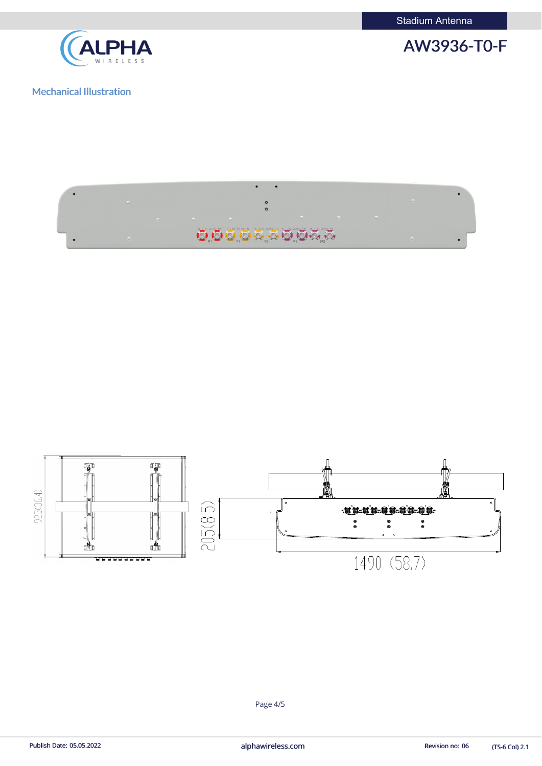Stadium Antenna









## Mechanical Illustration

**ALPHA** 

(TS-6 Col) 2.1

Page 4/5

Publish Date: 05.05.2022 **alphawireless.com** and a series and a series of the Revision no: 06